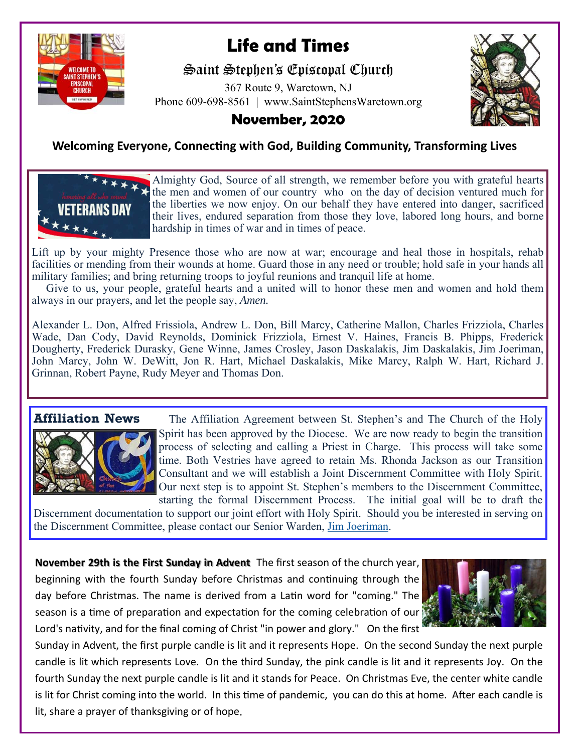

# **Life and Times**

Saint Stephen's Episcopal Church

367 Route 9, Waretown, NJ Phone 609-698-8561 | www.SaintStephensWaretown.org



## **November, 2020**

## **Welcoming Everyone, Connecting with God, Building Community, Transforming Lives**



Almighty God, Source of all strength, we remember before you with grateful hearts the men and women of our country who on the day of decision ventured much for the liberties we now enjoy. On our behalf they have entered into danger, sacrificed their lives, endured separation from those they love, labored long hours, and borne hardship in times of war and in times of peace.

Lift up by your mighty Presence those who are now at war; encourage and heal those in hospitals, rehab facilities or mending from their wounds at home. Guard those in any need or trouble; hold safe in your hands all military families; and bring returning troops to joyful reunions and tranquil life at home.

 Give to us, your people, grateful hearts and a united will to honor these men and women and hold them always in our prayers, and let the people say, *Amen.* 

Alexander L. Don, Alfred Frissiola, Andrew L. Don, Bill Marcy, Catherine Mallon, Charles Frizziola, Charles Wade, Dan Cody, David Reynolds, Dominick Frizziola, Ernest V. Haines, Francis B. Phipps, Frederick Dougherty, Frederick Durasky, Gene Winne, James Crosley, Jason Daskalakis, Jim Daskalakis, Jim Joeriman, John Marcy, John W. DeWitt, Jon R. Hart, Michael Daskalakis, Mike Marcy, Ralph W. Hart, Richard J. Grinnan, Robert Payne, Rudy Meyer and Thomas Don.



**Affiliation News** The Affiliation Agreement between St. Stephen's and The Church of the Holy Spirit has been approved by the Diocese. We are now ready to begin the transition process of selecting and calling a Priest in Charge. This process will take some time. Both Vestries have agreed to retain Ms. Rhonda Jackson as our Transition Consultant and we will establish a Joint Discernment Committee with Holy Spirit. Our next step is to appoint St. Stephen's members to the Discernment Committee, starting the formal Discernment Process. The initial goal will be to draft the

Discernment documentation to support our joint effort with Holy Spirit. Should you be interested in serving on the Discernment Committee, please contact our Senior Warden, Jim Joeriman.

**November 29th is the First Sunday in Advent** The first season of the church year, beginning with the fourth Sunday before Christmas and continuing through the day before Christmas. The name is derived from a Latin word for "coming." The season is a time of preparation and expectation for the coming celebration of our Lord's nativity, and for the final coming of Christ "in power and glory." On the first



Sunday in Advent, the first purple candle is lit and it represents Hope. On the second Sunday the next purple candle is lit which represents Love. On the third Sunday, the pink candle is lit and it represents Joy. On the fourth Sunday the next purple candle is lit and it stands for Peace. On Christmas Eve, the center white candle is lit for Christ coming into the world. In this time of pandemic, you can do this at home. After each candle is lit, share a prayer of thanksgiving or of hope.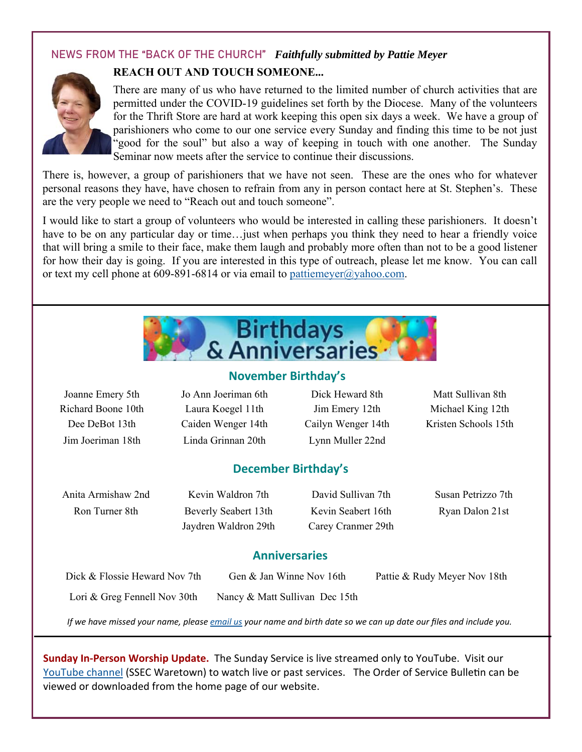## NEWS FROM THE "BACK OF THE CHURCH" *Faithfully submitted by Pattie Meyer*



### **REACH OUT AND TOUCH SOMEONE...**

There are many of us who have returned to the limited number of church activities that are permitted under the COVID-19 guidelines set forth by the Diocese. Many of the volunteers for the Thrift Store are hard at work keeping this open six days a week. We have a group of parishioners who come to our one service every Sunday and finding this time to be not just "good for the soul" but also a way of keeping in touch with one another. The Sunday Seminar now meets after the service to continue their discussions.

There is, however, a group of parishioners that we have not seen. These are the ones who for whatever personal reasons they have, have chosen to refrain from any in person contact here at St. Stephen's. These are the very people we need to "Reach out and touch someone".

I would like to start a group of volunteers who would be interested in calling these parishioners. It doesn't have to be on any particular day or time... just when perhaps you think they need to hear a friendly voice that will bring a smile to their face, make them laugh and probably more often than not to be a good listener for how their day is going. If you are interested in this type of outreach, please let me know. You can call or text my cell phone at 609-891-6814 or via email to pattiemeyer@yahoo.com.



#### **November Birthday's**

| Joanne Emery 5th<br>Richard Boone 10th<br>Dee DeBot 13th | Jo Ann Joeriman 6th<br>Laura Koegel 11th<br>Caiden Wenger 14th | Dick Heward 8th<br>Jim Emery 12th<br>Cailyn Wenger 14th | Matt Sullivan 8th<br>Michael King 12th<br>Kristen Schools 15th |  |
|----------------------------------------------------------|----------------------------------------------------------------|---------------------------------------------------------|----------------------------------------------------------------|--|
| Jim Joeriman 18th                                        | Linda Grinnan 20th                                             | Lynn Muller 22nd                                        |                                                                |  |
| <b>December Birthday's</b>                               |                                                                |                                                         |                                                                |  |
| Anita Armishaw 2nd                                       | Kevin Waldron 7th                                              | David Sullivan 7th                                      | Susan Petrizzo 7th                                             |  |
| Ron Turner 8th                                           | Beverly Seabert 13th                                           | Kevin Seabert 16th                                      | Ryan Dalon 21st                                                |  |
|                                                          | Jaydren Waldron 29th                                           | Carey Cranmer 29th                                      |                                                                |  |
| <b>Anniversaries</b>                                     |                                                                |                                                         |                                                                |  |

| Dick & Flossie Heward Nov 7th | Gen & Jan Winne Nov 16th       | Pattie & Rudy Meyer Nov 18th |
|-------------------------------|--------------------------------|------------------------------|
| Lori & Greg Fennell Nov 30th  | Nancy & Matt Sullivan Dec 15th |                              |

*If we have missed your name, please email us your name and birth date so we can up date our files and include you.* 

**Sunday In‐Person Worship Update.** The Sunday Service is live streamed only to YouTube. Visit our YouTube channel (SSEC Waretown) to watch live or past services. The Order of Service Bulletin can be viewed or downloaded from the home page of our website.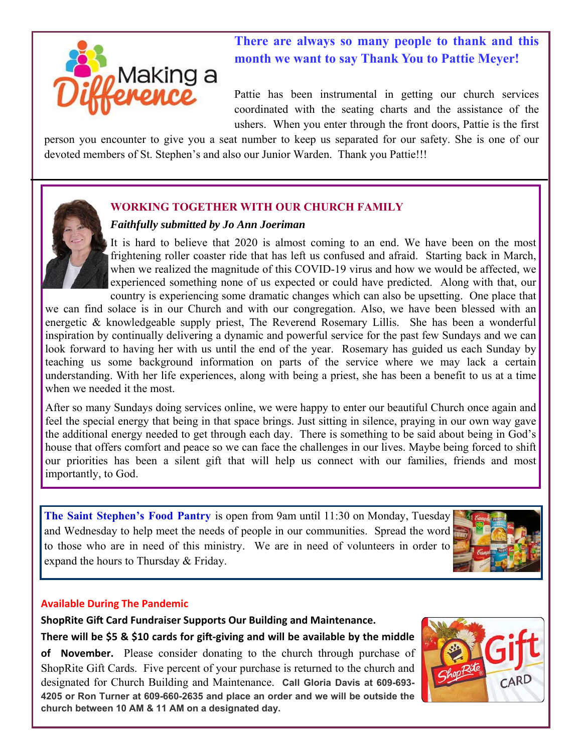

## **There are always so many people to thank and this month we want to say Thank You to Pattie Meyer!**

Pattie has been instrumental in getting our church services coordinated with the seating charts and the assistance of the ushers. When you enter through the front doors, Pattie is the first

person you encounter to give you a seat number to keep us separated for our safety. She is one of our devoted members of St. Stephen's and also our Junior Warden. Thank you Pattie!!!

#### **WORKING TOGETHER WITH OUR CHURCH FAMILY**

#### *Faithfully submitted by Jo Ann Joeriman*

It is hard to believe that 2020 is almost coming to an end. We have been on the most frightening roller coaster ride that has left us confused and afraid. Starting back in March, when we realized the magnitude of this COVID-19 virus and how we would be affected, we experienced something none of us expected or could have predicted. Along with that, our country is experiencing some dramatic changes which can also be upsetting. One place that

we can find solace is in our Church and with our congregation. Also, we have been blessed with an energetic & knowledgeable supply priest, The Reverend Rosemary Lillis. She has been a wonderful inspiration by continually delivering a dynamic and powerful service for the past few Sundays and we can look forward to having her with us until the end of the year. Rosemary has guided us each Sunday by teaching us some background information on parts of the service where we may lack a certain understanding. With her life experiences, along with being a priest, she has been a benefit to us at a time when we needed it the most.

After so many Sundays doing services online, we were happy to enter our beautiful Church once again and feel the special energy that being in that space brings. Just sitting in silence, praying in our own way gave the additional energy needed to get through each day. There is something to be said about being in God's house that offers comfort and peace so we can face the challenges in our lives. Maybe being forced to shift our priorities has been a silent gift that will help us connect with our families, friends and most importantly, to God.

**The Saint Stephen's Food Pantry** is open from 9am until 11:30 on Monday, Tuesday and Wednesday to help meet the needs of people in our communities. Spread the word to those who are in need of this ministry. We are in need of volunteers in order to expand the hours to Thursday & Friday.



#### **Available During The Pandemic**

**ShopRite Gift Card Fundraiser Supports Our Building and Maintenance.** There will be \$5 & \$10 cards for gift-giving and will be available by the middle **of November.** Please consider donating to the church through purchase of ShopRite Gift Cards. Five percent of your purchase is returned to the church and designated for Church Building and Maintenance. **Call Gloria Davis at 609-693- 4205 or Ron Turner at 609-660-2635 and place an order and we will be outside the church between 10 AM & 11 AM on a designated day.** 

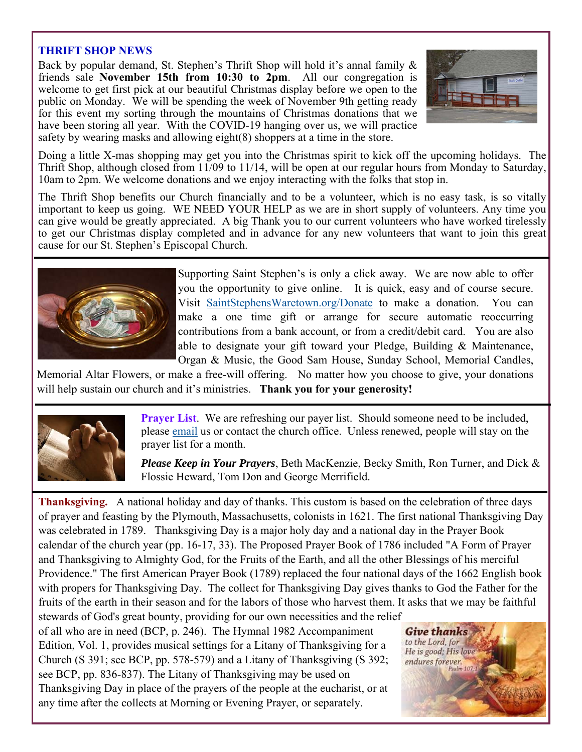#### **THRIFT SHOP NEWS**

Back by popular demand, St. Stephen's Thrift Shop will hold it's annal family  $\&$ friends sale **November 15th from 10:30 to 2pm**. All our congregation is welcome to get first pick at our beautiful Christmas display before we open to the public on Monday. We will be spending the week of November 9th getting ready for this event my sorting through the mountains of Christmas donations that we have been storing all year. With the COVID-19 hanging over us, we will practice safety by wearing masks and allowing eight(8) shoppers at a time in the store.



Doing a little X-mas shopping may get you into the Christmas spirit to kick off the upcoming holidays. The Thrift Shop, although closed from 11/09 to 11/14, will be open at our regular hours from Monday to Saturday, 10am to 2pm. We welcome donations and we enjoy interacting with the folks that stop in.

The Thrift Shop benefits our Church financially and to be a volunteer, which is no easy task, is so vitally important to keep us going. WE NEED YOUR HELP as we are in short supply of volunteers. Any time you can give would be greatly appreciated. A big Thank you to our current volunteers who have worked tirelessly to get our Christmas display completed and in advance for any new volunteers that want to join this great cause for our St. Stephen's Episcopal Church.



Supporting Saint Stephen's is only a click away. We are now able to offer you the opportunity to give online. It is quick, easy and of course secure. Visit SaintStephensWaretown.org/Donate to make a donation. You can make a one time gift or arrange for secure automatic reoccurring contributions from a bank account, or from a credit/debit card. You are also able to designate your gift toward your Pledge, Building & Maintenance, Organ & Music, the Good Sam House, Sunday School, Memorial Candles,

Memorial Altar Flowers, or make a free-will offering. No matter how you choose to give, your donations will help sustain our church and it's ministries. **Thank you for your generosity!**



**Prayer List.** We are refreshing our payer list. Should someone need to be included, please email us or contact the church office. Unless renewed, people will stay on the prayer list for a month.

*Please Keep in Your Prayers*, Beth MacKenzie, Becky Smith, Ron Turner, and Dick & Flossie Heward, Tom Don and George Merrifield.

**Thanksgiving.** A national holiday and day of thanks. This custom is based on the celebration of three days of prayer and feasting by the Plymouth, Massachusetts, colonists in 1621. The first national Thanksgiving Day was celebrated in 1789. Thanksgiving Day is a major holy day and a national day in the Prayer Book calendar of the church year (pp. 16-17, 33). The Proposed Prayer Book of 1786 included "A Form of Prayer and Thanksgiving to Almighty God, for the Fruits of the Earth, and all the other Blessings of his merciful Providence." The first American Prayer Book (1789) replaced the four national days of the 1662 English book with propers for Thanksgiving Day. The collect for Thanksgiving Day gives thanks to God the Father for the fruits of the earth in their season and for the labors of those who harvest them. It asks that we may be faithful stewards of God's great bounty, providing for our own necessities and the relief

of all who are in need (BCP, p. 246). The Hymnal 1982 Accompaniment Edition, Vol. 1, provides musical settings for a Litany of Thanksgiving for a Church (S 391; see BCP, pp. 578-579) and a Litany of Thanksgiving (S 392; see BCP, pp. 836-837). The Litany of Thanksgiving may be used on Thanksgiving Day in place of the prayers of the people at the eucharist, or at any time after the collects at Morning or Evening Prayer, or separately.

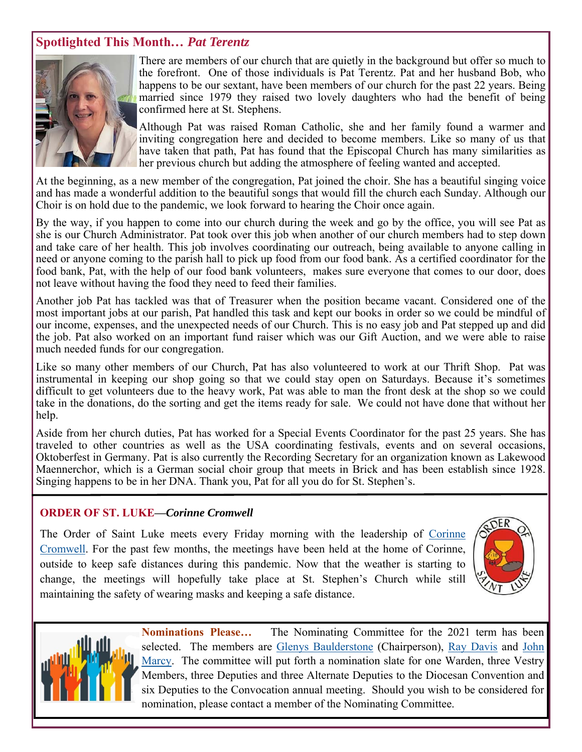## **Spotlighted This Month***… Pat Terentz*



There are members of our church that are quietly in the background but offer so much to the forefront. One of those individuals is Pat Terentz. Pat and her husband Bob, who happens to be our sextant, have been members of our church for the past 22 years. Being married since 1979 they raised two lovely daughters who had the benefit of being confirmed here at St. Stephens.

Although Pat was raised Roman Catholic, she and her family found a warmer and inviting congregation here and decided to become members. Like so many of us that have taken that path, Pat has found that the Episcopal Church has many similarities as her previous church but adding the atmosphere of feeling wanted and accepted.

At the beginning, as a new member of the congregation, Pat joined the choir. She has a beautiful singing voice and has made a wonderful addition to the beautiful songs that would fill the church each Sunday. Although our Choir is on hold due to the pandemic, we look forward to hearing the Choir once again.

By the way, if you happen to come into our church during the week and go by the office, you will see Pat as she is our Church Administrator. Pat took over this job when another of our church members had to step down and take care of her health. This job involves coordinating our outreach, being available to anyone calling in need or anyone coming to the parish hall to pick up food from our food bank. As a certified coordinator for the food bank, Pat, with the help of our food bank volunteers, makes sure everyone that comes to our door, does not leave without having the food they need to feed their families.

Another job Pat has tackled was that of Treasurer when the position became vacant. Considered one of the most important jobs at our parish, Pat handled this task and kept our books in order so we could be mindful of our income, expenses, and the unexpected needs of our Church. This is no easy job and Pat stepped up and did the job. Pat also worked on an important fund raiser which was our Gift Auction, and we were able to raise much needed funds for our congregation.

Like so many other members of our Church, Pat has also volunteered to work at our Thrift Shop. Pat was instrumental in keeping our shop going so that we could stay open on Saturdays. Because it's sometimes difficult to get volunteers due to the heavy work, Pat was able to man the front desk at the shop so we could take in the donations, do the sorting and get the items ready for sale. We could not have done that without her help.

Aside from her church duties, Pat has worked for a Special Events Coordinator for the past 25 years. She has traveled to other countries as well as the USA coordinating festivals, events and on several occasions, Oktoberfest in Germany. Pat is also currently the Recording Secretary for an organization known as Lakewood Maennerchor, which is a German social choir group that meets in Brick and has been establish since 1928. Singing happens to be in her DNA. Thank you, Pat for all you do for St. Stephen's.

#### **ORDER OF ST. LUKE—***Corinne Cromwell*

The Order of Saint Luke meets every Friday morning with the leadership of Corinne Cromwell. For the past few months, the meetings have been held at the home of Corinne, outside to keep safe distances during this pandemic. Now that the weather is starting to change, the meetings will hopefully take place at St. Stephen's Church while still maintaining the safety of wearing masks and keeping a safe distance.





**Nominations Please…** The Nominating Committee for the 2021 term has been selected. The members are Glenys Baulderstone (Chairperson), Ray Davis and John Marcy. The committee will put forth a nomination slate for one Warden, three Vestry Members, three Deputies and three Alternate Deputies to the Diocesan Convention and six Deputies to the Convocation annual meeting. Should you wish to be considered for nomination, please contact a member of the Nominating Committee.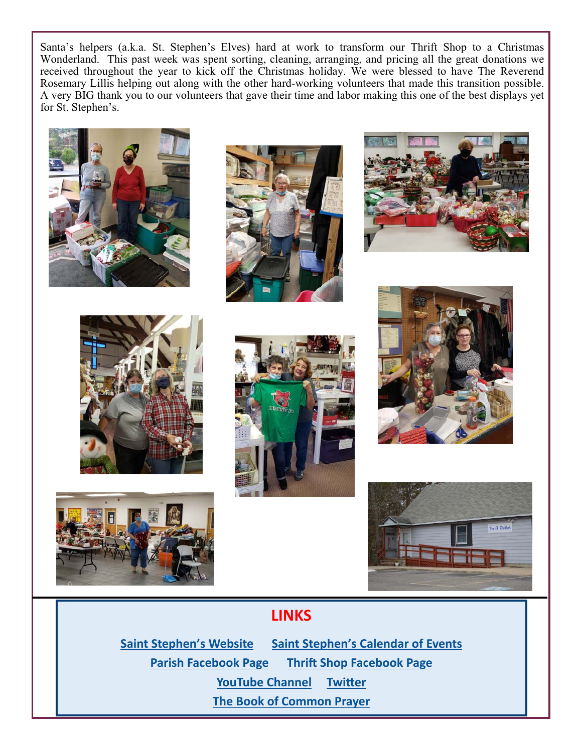Santa's helpers (a.k.a. St. Stephen's Elves) hard at work to transform our Thrift Shop to a Christmas Wonderland. This past week was spent sorting, cleaning, arranging, and pricing all the great donations we received throughout the year to kick off the Christmas holiday. We were blessed to have The Reverend Rosemary Lillis helping out along with the other hard-working volunteers that made this transition possible. A very BIG thank you to our volunteers that gave their time and labor making this one of the best displays yet for St. Stephen's.

















## **LINKS**

**Saint Stephen's Website Saint Stephen's Calendar of Events Parish Facebook Page Thrift Shop Facebook Page YouTube Channel Twitter The Book of Common Prayer**